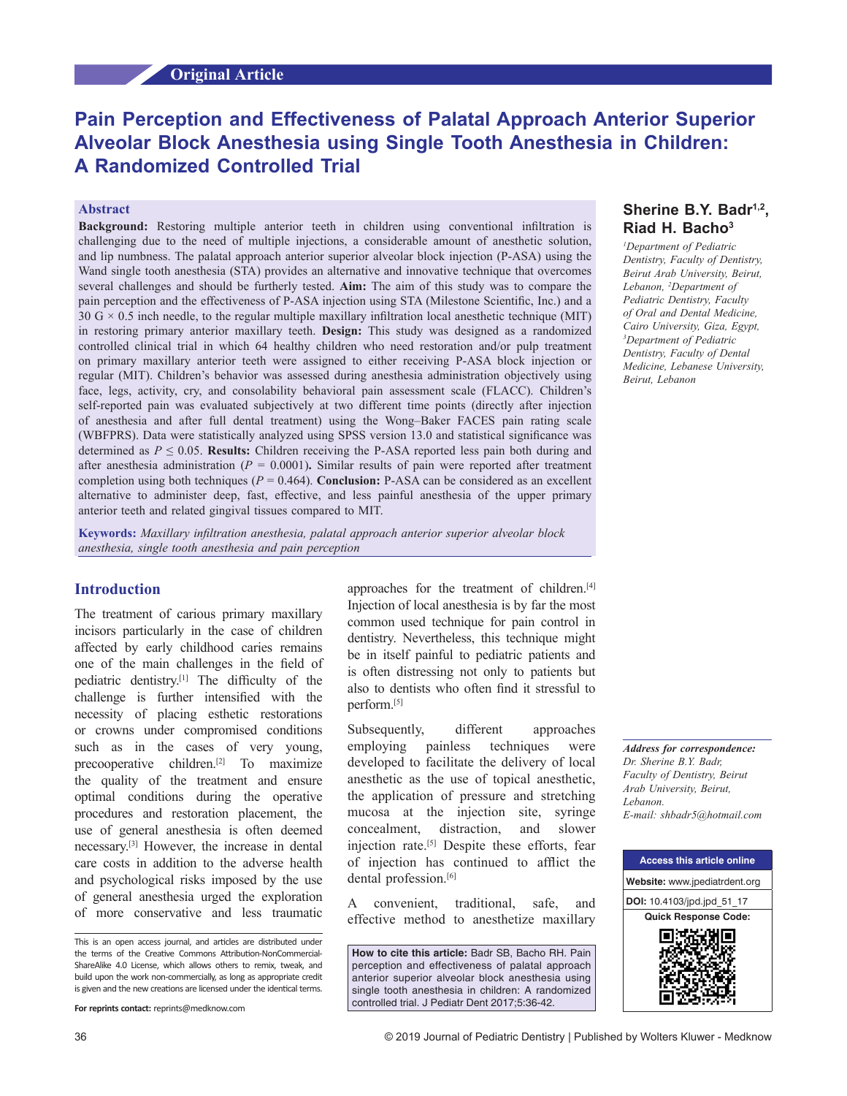# **Pain Perception and Effectiveness of Palatal Approach Anterior Superior Alveolar Block Anesthesia using Single Tooth Anesthesia in Children: A Randomized Controlled Trial**

## **Abstract**

**Background:** Restoring multiple anterior teeth in children using conventional infiltration is challenging due to the need of multiple injections, a considerable amount of anesthetic solution, and lip numbness. The palatal approach anterior superior alveolar block injection (P‑ASA) using the Wand single tooth anesthesia (STA) provides an alternative and innovative technique that overcomes several challenges and should be furtherly tested. **Aim:** The aim of this study was to compare the pain perception and the effectiveness of P-ASA injection using STA (Milestone Scientific, Inc.) and a  $30 \text{ G} \times 0.5$  inch needle, to the regular multiple maxillary infiltration local anesthetic technique (MIT) in restoring primary anterior maxillary teeth. **Design:** This study was designed as a randomized controlled clinical trial in which 64 healthy children who need restoration and/or pulp treatment on primary maxillary anterior teeth were assigned to either receiving P‑ASA block injection or regular (MIT). Children's behavior was assessed during anesthesia administration objectively using face, legs, activity, cry, and consolability behavioral pain assessment scale (FLACC). Children's self-reported pain was evaluated subjectively at two different time points (directly after injection of anesthesia and after full dental treatment) using the Wong–Baker FACES pain rating scale (WBFPRS). Data were statistically analyzed using SPSS version 13.0 and statistical significance was determined as  $P \le 0.05$ . **Results:** Children receiving the P-ASA reported less pain both during and after anesthesia administration  $(P = 0.0001)$ . Similar results of pain were reported after treatment completion using both techniques ( $P = 0.464$ ). **Conclusion:** P-ASA can be considered as an excellent alternative to administer deep, fast, effective, and less painful anesthesia of the upper primary anterior teeth and related gingival tissues compared to MIT.

**Keywords:** *Maxillary infiltration anesthesia, palatal approach anterior superior alveolar block anesthesia, single tooth anesthesia and pain perception*

## **Introduction**

The treatment of carious primary maxillary incisors particularly in the case of children affected by early childhood caries remains one of the main challenges in the field of pediatric dentistry.[1] The difficulty of the challenge is further intensified with the necessity of placing esthetic restorations or crowns under compromised conditions such as in the cases of very young, precooperative children.[2] To maximize the quality of the treatment and ensure optimal conditions during the operative procedures and restoration placement, the use of general anesthesia is often deemed necessary.[3] However, the increase in dental care costs in addition to the adverse health and psychological risks imposed by the use of general anesthesia urged the exploration of more conservative and less traumatic

approaches for the treatment of children.<sup>[4]</sup> Injection of local anesthesia is by far the most common used technique for pain control in dentistry. Nevertheless, this technique might be in itself painful to pediatric patients and is often distressing not only to patients but also to dentists who often find it stressful to perform.[5]

Subsequently, different approaches employing painless techniques were developed to facilitate the delivery of local anesthetic as the use of topical anesthetic, the application of pressure and stretching mucosa at the injection site, syringe concealment, distraction, and slower injection rate.[5] Despite these efforts, fear of injection has continued to afflict the dental profession.<sup>[6]</sup>

A convenient, traditional, safe, and effective method to anesthetize maxillary

**How to cite this article:** Badr SB, Bacho RH. Pain perception and effectiveness of palatal approach anterior superior alveolar block anesthesia using single tooth anesthesia in children: A randomized controlled trial. J Pediatr Dent 2017;5:36-42.

# **Sherine B.Y. Badr1,2, Riad H. Bacho3**

*1 Department of Pediatric Dentistry, Faculty of Dentistry, Beirut Arab University, Beirut, Lebanon, 2 Department of Pediatric Dentistry, Faculty of Oral and Dental Medicine, Cairo University, Giza, Egypt, 3 Department of Pediatric Dentistry, Faculty of Dental Medicine, Lebanese University, Beirut, Lebanon*

*Address for correspondence: Dr. Sherine B.Y. Badr, Faculty of Dentistry, Beirut Arab University, Beirut, Lebanon. E‑mail: shbadr5@hotmail.com*



This is an open access journal, and articles are distributed under the terms of the Creative Commons Attribution-NonCommercial-ShareAlike 4.0 License, which allows others to remix, tweak, and build upon the work non-commercially, as long as appropriate credit is given and the new creations are licensed under the identical terms.

**For reprints contact:** reprints@medknow.com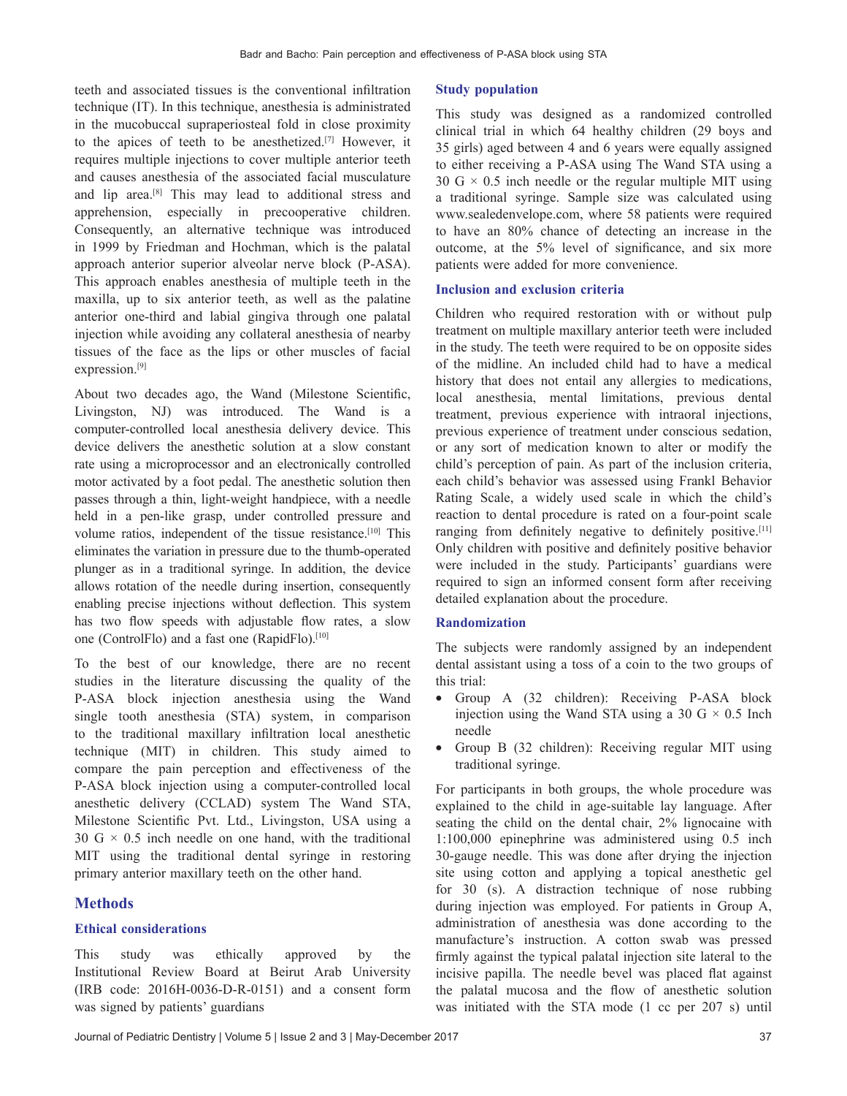teeth and associated tissues is the conventional infiltration technique (IT). In this technique, anesthesia is administrated in the mucobuccal supraperiosteal fold in close proximity to the apices of teeth to be anesthetized.[7] However, it requires multiple injections to cover multiple anterior teeth and causes anesthesia of the associated facial musculature and lip area.[8] This may lead to additional stress and apprehension, especially in precooperative children. Consequently, an alternative technique was introduced in 1999 by Friedman and Hochman, which is the palatal approach anterior superior alveolar nerve block (P‑ASA). This approach enables anesthesia of multiple teeth in the maxilla, up to six anterior teeth, as well as the palatine anterior one‑third and labial gingiva through one palatal injection while avoiding any collateral anesthesia of nearby tissues of the face as the lips or other muscles of facial expression.<sup>[9]</sup>

About two decades ago, the Wand (Milestone Scientific, Livingston, NJ) was introduced. The Wand is a computer-controlled local anesthesia delivery device. This device delivers the anesthetic solution at a slow constant rate using a microprocessor and an electronically controlled motor activated by a foot pedal. The anesthetic solution then passes through a thin, light‑weight handpiece, with a needle held in a pen-like grasp, under controlled pressure and volume ratios, independent of the tissue resistance.<sup>[10]</sup> This eliminates the variation in pressure due to the thumb‑operated plunger as in a traditional syringe. In addition, the device allows rotation of the needle during insertion, consequently enabling precise injections without deflection. This system has two flow speeds with adjustable flow rates, a slow one (ControlFlo) and a fast one (RapidFlo).[10]

To the best of our knowledge, there are no recent studies in the literature discussing the quality of the P‑ASA block injection anesthesia using the Wand single tooth anesthesia (STA) system, in comparison to the traditional maxillary infiltration local anesthetic technique (MIT) in children. This study aimed to compare the pain perception and effectiveness of the P-ASA block injection using a computer-controlled local anesthetic delivery (CCLAD) system The Wand STA, Milestone Scientific Pvt. Ltd., Livingston, USA using a 30 G  $\times$  0.5 inch needle on one hand, with the traditional MIT using the traditional dental syringe in restoring primary anterior maxillary teeth on the other hand.

## **Methods**

## **Ethical considerations**

This study was ethically approved by the Institutional Review Board at Beirut Arab University (IRB code: 2016H‑0036‑D‑R‑0151) and a consent form was signed by patients' guardians

## **Study population**

This study was designed as a randomized controlled clinical trial in which 64 healthy children (29 boys and 35 girls) aged between 4 and 6 years were equally assigned to either receiving a P‑ASA using The Wand STA using a 30 G  $\times$  0.5 inch needle or the regular multiple MIT using a traditional syringe. Sample size was calculated using www.sealedenvelope.com, where 58 patients were required to have an 80% chance of detecting an increase in the outcome, at the 5% level of significance, and six more patients were added for more convenience.

## **Inclusion and exclusion criteria**

Children who required restoration with or without pulp treatment on multiple maxillary anterior teeth were included in the study. The teeth were required to be on opposite sides of the midline. An included child had to have a medical history that does not entail any allergies to medications, local anesthesia, mental limitations, previous dental treatment, previous experience with intraoral injections, previous experience of treatment under conscious sedation, or any sort of medication known to alter or modify the child's perception of pain. As part of the inclusion criteria, each child's behavior was assessed using Frankl Behavior Rating Scale, a widely used scale in which the child's reaction to dental procedure is rated on a four-point scale ranging from definitely negative to definitely positive.[11] Only children with positive and definitely positive behavior were included in the study. Participants' guardians were required to sign an informed consent form after receiving detailed explanation about the procedure.

## **Randomization**

The subjects were randomly assigned by an independent dental assistant using a toss of a coin to the two groups of this trial:

- Group A (32 children): Receiving P-ASA block injection using the Wand STA using a 30 G  $\times$  0.5 Inch needle
- Group B (32 children): Receiving regular MIT using traditional syringe.

For participants in both groups, the whole procedure was explained to the child in age-suitable lay language. After seating the child on the dental chair, 2% lignocaine with 1:100,000 epinephrine was administered using 0.5 inch 30‑gauge needle. This was done after drying the injection site using cotton and applying a topical anesthetic gel for 30 (s). A distraction technique of nose rubbing during injection was employed. For patients in Group A, administration of anesthesia was done according to the manufacture's instruction. A cotton swab was pressed firmly against the typical palatal injection site lateral to the incisive papilla. The needle bevel was placed flat against the palatal mucosa and the flow of anesthetic solution was initiated with the STA mode (1 cc per 207 s) until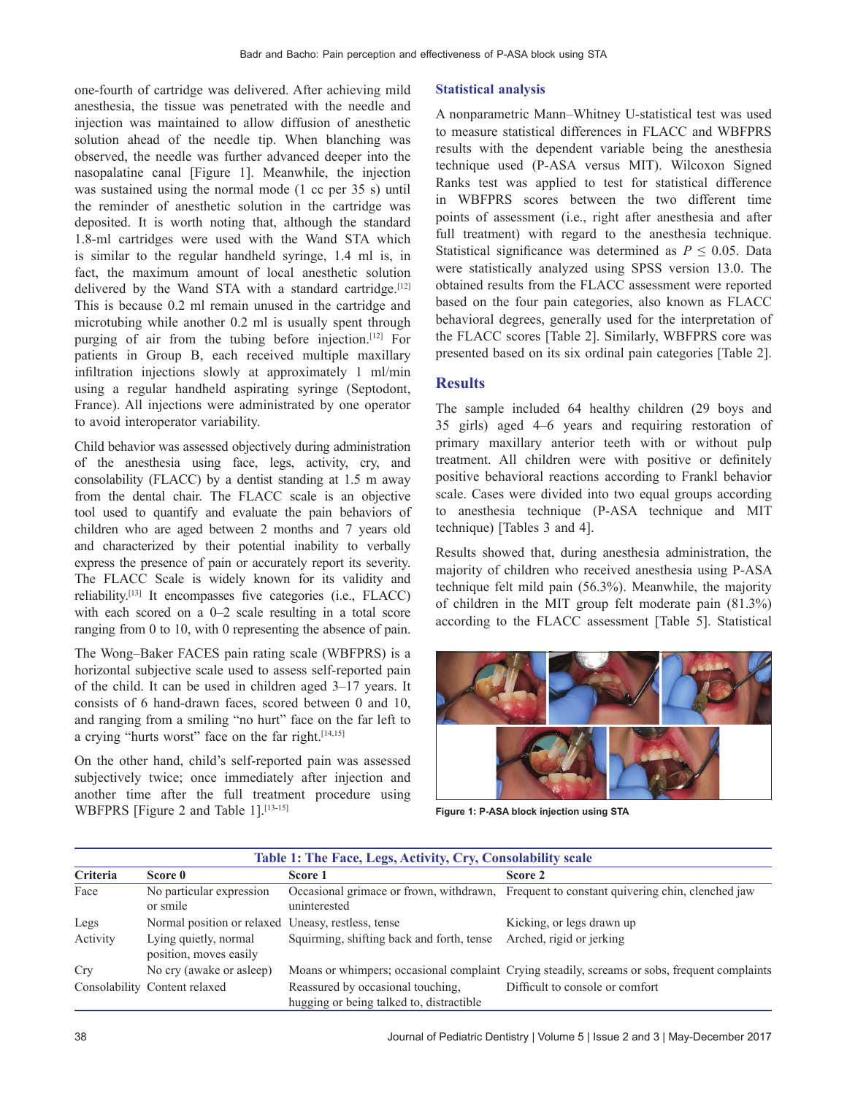one‑fourth of cartridge was delivered. After achieving mild anesthesia, the tissue was penetrated with the needle and injection was maintained to allow diffusion of anesthetic solution ahead of the needle tip. When blanching was observed, the needle was further advanced deeper into the nasopalatine canal [Figure 1]. Meanwhile, the injection was sustained using the normal mode (1 cc per 35 s) until the reminder of anesthetic solution in the cartridge was deposited. It is worth noting that, although the standard 1.8‑ml cartridges were used with the Wand STA which is similar to the regular handheld syringe, 1.4 ml is, in fact, the maximum amount of local anesthetic solution delivered by the Wand STA with a standard cartridge. $[12]$ This is because 0.2 ml remain unused in the cartridge and microtubing while another 0.2 ml is usually spent through purging of air from the tubing before injection.[12] For patients in Group B, each received multiple maxillary infiltration injections slowly at approximately 1 ml/min using a regular handheld aspirating syringe (Septodont, France). All injections were administrated by one operator to avoid interoperator variability.

Child behavior was assessed objectively during administration of the anesthesia using face, legs, activity, cry, and consolability (FLACC) by a dentist standing at 1.5 m away from the dental chair. The FLACC scale is an objective tool used to quantify and evaluate the pain behaviors of children who are aged between 2 months and 7 years old and characterized by their potential inability to verbally express the presence of pain or accurately report its severity. The FLACC Scale is widely known for its validity and reliability.[13] It encompasses five categories (i.e., FLACC) with each scored on a 0–2 scale resulting in a total score ranging from 0 to 10, with 0 representing the absence of pain.

The Wong–Baker FACES pain rating scale (WBFPRS) is a horizontal subjective scale used to assess self-reported pain of the child. It can be used in children aged 3–17 years. It consists of 6 hand‑drawn faces, scored between 0 and 10, and ranging from a smiling "no hurt" face on the far left to a crying "hurts worst" face on the far right.<sup>[14,15]</sup>

On the other hand, child's self-reported pain was assessed subjectively twice; once immediately after injection and another time after the full treatment procedure using WBFPRS [Figure 2 and Table 1].<sup>[13-15]</sup>

#### **Statistical analysis**

A nonparametric Mann–Whitney U‑statistical test was used to measure statistical differences in FLACC and WBFPRS results with the dependent variable being the anesthesia technique used (P‑ASA versus MIT). Wilcoxon Signed Ranks test was applied to test for statistical difference in WBFPRS scores between the two different time points of assessment (i.e., right after anesthesia and after full treatment) with regard to the anesthesia technique. Statistical significance was determined as  $P \leq 0.05$ . Data were statistically analyzed using SPSS version 13.0. The obtained results from the FLACC assessment were reported based on the four pain categories, also known as FLACC behavioral degrees, generally used for the interpretation of the FLACC scores [Table 2]. Similarly, WBFPRS core was presented based on its six ordinal pain categories [Table 2].

## **Results**

The sample included 64 healthy children (29 boys and 35 girls) aged 4–6 years and requiring restoration of primary maxillary anterior teeth with or without pulp treatment. All children were with positive or definitely positive behavioral reactions according to Frankl behavior scale. Cases were divided into two equal groups according to anesthesia technique (P‑ASA technique and MIT technique) [Tables 3 and 4].

Results showed that, during anesthesia administration, the majority of children who received anesthesia using P‑ASA technique felt mild pain (56.3%). Meanwhile, the majority of children in the MIT group felt moderate pain (81.3%) according to the FLACC assessment [Table 5]. Statistical



**Figure 1: P-ASA block injection using STA**

| Table 1: The Face, Legs, Activity, Cry, Consolability scale |                                                    |                                                                               |                                                                                               |  |  |
|-------------------------------------------------------------|----------------------------------------------------|-------------------------------------------------------------------------------|-----------------------------------------------------------------------------------------------|--|--|
| Criteria                                                    | Score 0                                            | Score 1                                                                       | Score 2                                                                                       |  |  |
| Face                                                        | No particular expression<br>or smile               | uninterested                                                                  | Occasional grimate or frown, withdrawn. Frequent to constant quivering chin, clenched jaw     |  |  |
| Legs                                                        | Normal position or relaxed Uneasy, restless, tense |                                                                               | Kicking, or legs drawn up                                                                     |  |  |
| Activity                                                    | Lying quietly, normal<br>position, moves easily    | Squirming, shifting back and forth, tense                                     | Arched, rigid or jerking                                                                      |  |  |
| Cry                                                         | No cry (awake or asleep)                           |                                                                               | Moans or whimpers; occasional complaint Crying steadily, screams or sobs, frequent complaints |  |  |
|                                                             | Consolability Content relaxed                      | Reassured by occasional touching,<br>hugging or being talked to, distractible | Difficult to console or comfort                                                               |  |  |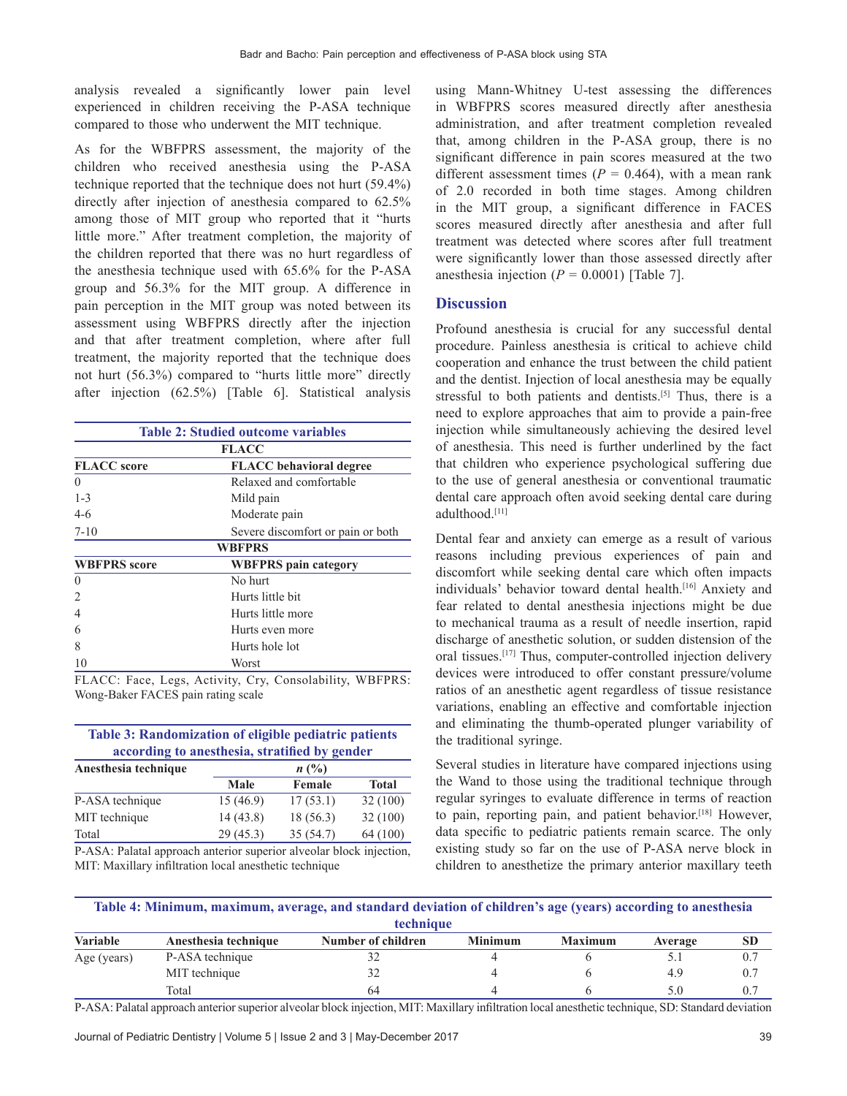analysis revealed a significantly lower pain level experienced in children receiving the P‑ASA technique compared to those who underwent the MIT technique.

As for the WBFPRS assessment, the majority of the children who received anesthesia using the P-ASA technique reported that the technique does not hurt (59.4%) directly after injection of anesthesia compared to 62.5% among those of MIT group who reported that it "hurts little more." After treatment completion, the majority of the children reported that there was no hurt regardless of the anesthesia technique used with 65.6% for the P‑ASA group and 56.3% for the MIT group. A difference in pain perception in the MIT group was noted between its assessment using WBFPRS directly after the injection and that after treatment completion, where after full treatment, the majority reported that the technique does not hurt (56.3%) compared to "hurts little more" directly after injection (62.5%) [Table 6]. Statistical analysis

| <b>Table 2: Studied outcome variables</b> |                                   |  |  |  |  |
|-------------------------------------------|-----------------------------------|--|--|--|--|
| <b>FLACC</b>                              |                                   |  |  |  |  |
| <b>FLACC</b> score                        | <b>FLACC</b> behavioral degree    |  |  |  |  |
| $\theta$                                  | Relaxed and comfortable           |  |  |  |  |
| $1 - 3$                                   | Mild pain                         |  |  |  |  |
| $4-6$<br>Moderate pain                    |                                   |  |  |  |  |
| $7 - 10$                                  | Severe discomfort or pain or both |  |  |  |  |
|                                           | <b>WBFPRS</b>                     |  |  |  |  |
| <b>WBFPRS</b> score                       | <b>WBFPRS</b> pain category       |  |  |  |  |
| $\theta$                                  | No hurt                           |  |  |  |  |
| $\overline{c}$                            | Hurts little hit                  |  |  |  |  |
| 4                                         | Hurts little more                 |  |  |  |  |
| 6                                         | Hurts even more                   |  |  |  |  |
| 8                                         | Hurts hole lot                    |  |  |  |  |
| 10                                        | Worst                             |  |  |  |  |

FLACC: Face, Legs, Activity, Cry, Consolability, WBFPRS: Wong‑Baker FACES pain rating scale

| <b>Table 3: Randomization of eligible pediatric patients</b><br>according to anesthesia, stratified by gender |           |          |              |  |  |  |
|---------------------------------------------------------------------------------------------------------------|-----------|----------|--------------|--|--|--|
| Anesthesia technique                                                                                          | $n\ (\%)$ |          |              |  |  |  |
|                                                                                                               | Male      | Female   | <b>Total</b> |  |  |  |
| P-ASA technique                                                                                               | 15(46.9)  | 17(53.1) | 32(100)      |  |  |  |
| MIT technique                                                                                                 | 14(43.8)  | 18(56.3) | 32(100)      |  |  |  |
| Total                                                                                                         | 29(45.3)  | 35(54.7) | 64 (100)     |  |  |  |

P‑ASA: Palatal approach anterior superior alveolar block injection, MIT: Maxillary infiltration local anesthetic technique

using Mann-Whitney U-test assessing the differences in WBFPRS scores measured directly after anesthesia administration, and after treatment completion revealed that, among children in the P‑ASA group, there is no significant difference in pain scores measured at the two different assessment times  $(P = 0.464)$ , with a mean rank of 2.0 recorded in both time stages. Among children in the MIT group, a significant difference in FACES scores measured directly after anesthesia and after full treatment was detected where scores after full treatment were significantly lower than those assessed directly after anesthesia injection  $(P = 0.0001)$  [Table 7].

## **Discussion**

Profound anesthesia is crucial for any successful dental procedure. Painless anesthesia is critical to achieve child cooperation and enhance the trust between the child patient and the dentist. Injection of local anesthesia may be equally stressful to both patients and dentists.<sup>[5]</sup> Thus, there is a need to explore approaches that aim to provide a pain‑free injection while simultaneously achieving the desired level of anesthesia. This need is further underlined by the fact that children who experience psychological suffering due to the use of general anesthesia or conventional traumatic dental care approach often avoid seeking dental care during adulthood.[11]

Dental fear and anxiety can emerge as a result of various reasons including previous experiences of pain and discomfort while seeking dental care which often impacts individuals' behavior toward dental health.[16] Anxiety and fear related to dental anesthesia injections might be due to mechanical trauma as a result of needle insertion, rapid discharge of anesthetic solution, or sudden distension of the oral tissues.<sup>[17]</sup> Thus, computer-controlled injection delivery devices were introduced to offer constant pressure/volume ratios of an anesthetic agent regardless of tissue resistance variations, enabling an effective and comfortable injection and eliminating the thumb-operated plunger variability of the traditional syringe.

Several studies in literature have compared injections using the Wand to those using the traditional technique through regular syringes to evaluate difference in terms of reaction to pain, reporting pain, and patient behavior.[18] However, data specific to pediatric patients remain scarce. The only existing study so far on the use of P‑ASA nerve block in children to anesthetize the primary anterior maxillary teeth

| Table 4: Minimum, maximum, average, and standard deviation of children's age (years) according to anesthesia |
|--------------------------------------------------------------------------------------------------------------|
| technique                                                                                                    |

| <b>Variable</b> | Anesthesia technique | Number of children | <b>Minimum</b> | <b>Maximum</b> | Average | <b>SL</b> |
|-----------------|----------------------|--------------------|----------------|----------------|---------|-----------|
| Age (years)     | P-ASA technique      | ے د                |                |                |         |           |
|                 | MIT technique        | ے ر                |                |                | 4.9     |           |
|                 | Total                | 64                 |                |                |         |           |

P‑ASA: Palatal approach anteriorsuperior alveolar block injection, MIT: Maxillary infiltration local anesthetic technique, SD: Standard deviation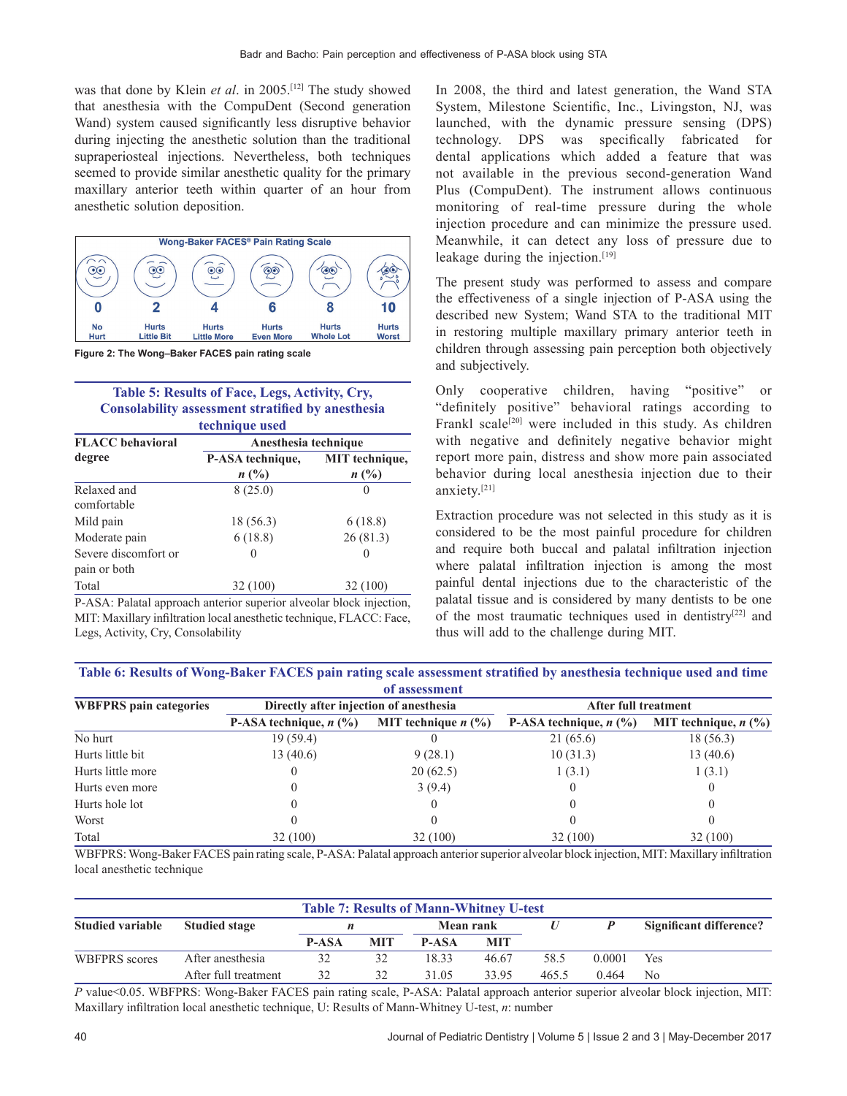was that done by Klein *et al*. in 2005.[12] The study showed that anesthesia with the CompuDent (Second generation Wand) system caused significantly less disruptive behavior during injecting the anesthetic solution than the traditional supraperiosteal injections. Nevertheless, both techniques seemed to provide similar anesthetic quality for the primary maxillary anterior teeth within quarter of an hour from anesthetic solution deposition.



**Figure 2: The Wong–Baker FACES pain rating scale**

## **Table 5: Results of Face, Legs, Activity, Cry, Consolability assessment stratified by anesthesia technique used**

| <b>FLACC</b> behavioral              | Anesthesia technique               |                                         |  |  |  |
|--------------------------------------|------------------------------------|-----------------------------------------|--|--|--|
| degree                               | P-ASA technique,<br>$n(^{0}/_{0})$ | <b>MIT</b> technique,<br>$n(^{0}/_{0})$ |  |  |  |
| Relaxed and<br>comfortable           | 8(25.0)                            | $\theta$                                |  |  |  |
| Mild pain                            | 18 (56.3)                          | 6(18.8)                                 |  |  |  |
| Moderate pain                        | 6(18.8)                            | 26(81.3)                                |  |  |  |
| Severe discomfort or<br>pain or both | $\theta$                           |                                         |  |  |  |
| Total                                | 32(100)                            | 32(100)                                 |  |  |  |

P‑ASA: Palatal approach anterior superior alveolar block injection, MIT: Maxillary infiltration local anesthetic technique, FLACC: Face, Legs, Activity, Cry, Consolability

In 2008, the third and latest generation, the Wand STA System, Milestone Scientific, Inc., Livingston, NJ, was launched, with the dynamic pressure sensing (DPS) technology. DPS was specifically fabricated for dental applications which added a feature that was not available in the previous second‑generation Wand Plus (CompuDent). The instrument allows continuous monitoring of real-time pressure during the whole injection procedure and can minimize the pressure used. Meanwhile, it can detect any loss of pressure due to leakage during the injection.[19]

The present study was performed to assess and compare the effectiveness of a single injection of P‑ASA using the described new System; Wand STA to the traditional MIT in restoring multiple maxillary primary anterior teeth in children through assessing pain perception both objectively and subjectively.

Only cooperative children, having "positive" or "definitely positive" behavioral ratings according to Frankl scale<sup>[20]</sup> were included in this study. As children with negative and definitely negative behavior might report more pain, distress and show more pain associated behavior during local anesthesia injection due to their anxiety.[21]

Extraction procedure was not selected in this study as it is considered to be the most painful procedure for children and require both buccal and palatal infiltration injection where palatal infiltration injection is among the most painful dental injections due to the characteristic of the palatal tissue and is considered by many dentists to be one of the most traumatic techniques used in dentistry<sup>[22]</sup> and thus will add to the challenge during MIT.

**Table 6: Results of Wong‑Baker FACES pain rating scale assessment stratified by anesthesia technique used and time of assessment**

| от аббебущеще                 |                                        |                       |                             |                        |  |  |  |
|-------------------------------|----------------------------------------|-----------------------|-----------------------------|------------------------|--|--|--|
| <b>WBFPRS</b> pain categories | Directly after injection of anesthesia |                       | <b>After full treatment</b> |                        |  |  |  |
|                               | P-ASA technique, $n$ (%)               | MIT technique $n$ (%) | P-ASA technique, $n$ (%)    | MIT technique, $n$ (%) |  |  |  |
| No hurt                       | 19(59.4)                               |                       | 21(65.6)                    | 18(56.3)               |  |  |  |
| Hurts little bit              | 13(40.6)                               | 9(28.1)               | 10(31.3)                    | 13(40.6)               |  |  |  |
| Hurts little more             |                                        | 20(62.5)              | 1(3.1)                      | 1(3.1)                 |  |  |  |
| Hurts even more               |                                        | 3(9.4)                |                             |                        |  |  |  |
| Hurts hole lot                |                                        |                       |                             |                        |  |  |  |
| Worst                         |                                        |                       |                             |                        |  |  |  |
| Total                         | 32(100)                                | 32(100)               | 32(100)                     | 32(100)                |  |  |  |

WBFPRS: Wong-Baker FACES pain rating scale, P-ASA: Palatal approach anterior superior alveolar block injection, MIT: Maxillary infiltration local anesthetic technique

| <b>Table 7: Results of Mann-Whitney U-test</b> |                      |       |            |                  |            |       |        |                                |
|------------------------------------------------|----------------------|-------|------------|------------------|------------|-------|--------|--------------------------------|
| <b>Studied variable</b>                        | <b>Studied stage</b> |       |            | <b>Mean rank</b> |            |       |        | <b>Significant difference?</b> |
|                                                |                      | P-ASA | <b>MIT</b> | <b>P-ASA</b>     | <b>MIT</b> |       |        |                                |
| WBFPRS scores                                  | After anesthesia     | 32    | 32         | 18.33            | 46.67      | 58.5  | 0.0001 | Yes                            |
|                                                | After full treatment | 32    | 32         | 31.05            | 33.95      | 465.5 | 0.464  | N <sub>0</sub>                 |

*P* value<0.05. WBFPRS: Wong-Baker FACES pain rating scale, P-ASA: Palatal approach anterior superior alveolar block injection, MIT: Maxillary infiltration local anesthetic technique, U: Results of Mann‑Whitney U‑test, *n*: number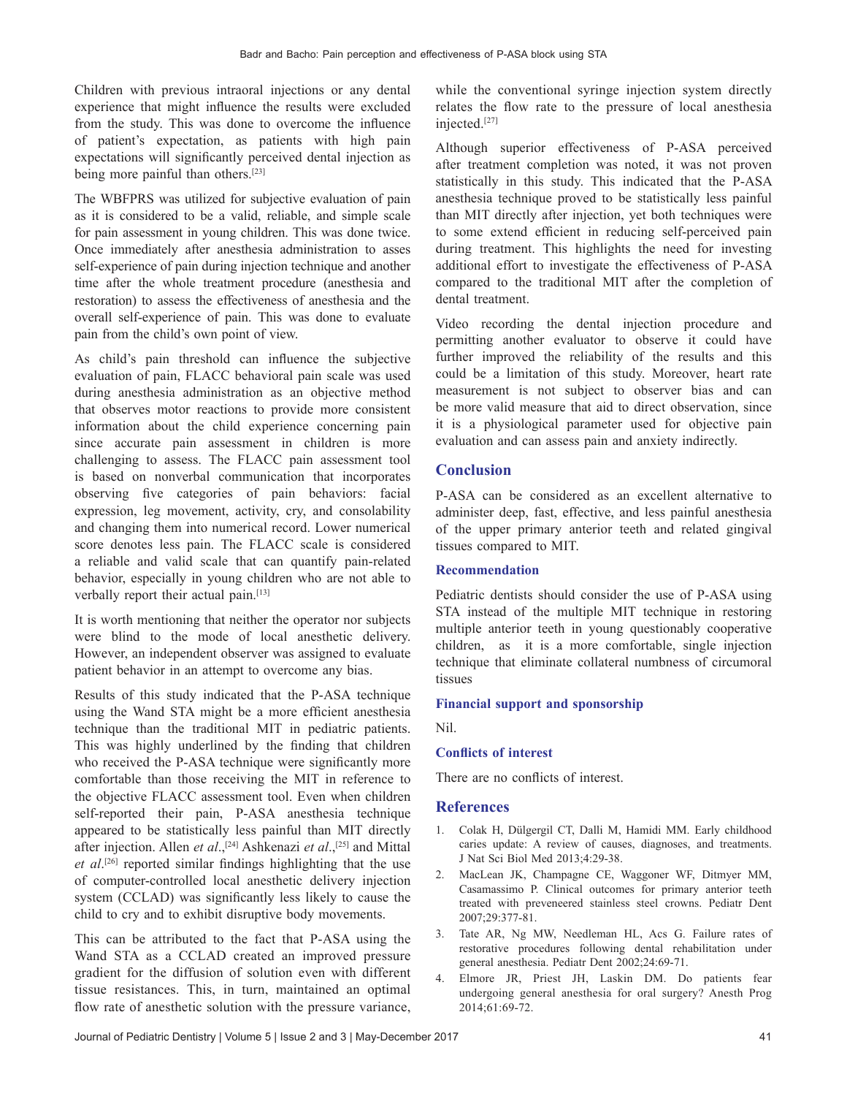Children with previous intraoral injections or any dental experience that might influence the results were excluded from the study. This was done to overcome the influence of patient's expectation, as patients with high pain expectations will significantly perceived dental injection as being more painful than others.[23]

The WBFPRS was utilized for subjective evaluation of pain as it is considered to be a valid, reliable, and simple scale for pain assessment in young children. This was done twice. Once immediately after anesthesia administration to asses self-experience of pain during injection technique and another time after the whole treatment procedure (anesthesia and restoration) to assess the effectiveness of anesthesia and the overall self‑experience of pain. This was done to evaluate pain from the child's own point of view.

As child's pain threshold can influence the subjective evaluation of pain, FLACC behavioral pain scale was used during anesthesia administration as an objective method that observes motor reactions to provide more consistent information about the child experience concerning pain since accurate pain assessment in children is more challenging to assess. The FLACC pain assessment tool is based on nonverbal communication that incorporates observing five categories of pain behaviors: facial expression, leg movement, activity, cry, and consolability and changing them into numerical record. Lower numerical score denotes less pain. The FLACC scale is considered a reliable and valid scale that can quantify pain‑related behavior, especially in young children who are not able to verbally report their actual pain.[13]

It is worth mentioning that neither the operator nor subjects were blind to the mode of local anesthetic delivery. However, an independent observer was assigned to evaluate patient behavior in an attempt to overcome any bias.

Results of this study indicated that the P‑ASA technique using the Wand STA might be a more efficient anesthesia technique than the traditional MIT in pediatric patients. This was highly underlined by the finding that children who received the P-ASA technique were significantly more comfortable than those receiving the MIT in reference to the objective FLACC assessment tool. Even when children self-reported their pain, P-ASA anesthesia technique appeared to be statistically less painful than MIT directly after injection. Allen *et al*.,[24] Ashkenazi *et al*.,[25] and Mittal *et al*. [26] reported similar findings highlighting that the use of computer‑controlled local anesthetic delivery injection system (CCLAD) was significantly less likely to cause the child to cry and to exhibit disruptive body movements.

This can be attributed to the fact that P‑ASA using the Wand STA as a CCLAD created an improved pressure gradient for the diffusion of solution even with different tissue resistances. This, in turn, maintained an optimal flow rate of anesthetic solution with the pressure variance, while the conventional syringe injection system directly relates the flow rate to the pressure of local anesthesia injected.[27]

Although superior effectiveness of P‑ASA perceived after treatment completion was noted, it was not proven statistically in this study. This indicated that the P‑ASA anesthesia technique proved to be statistically less painful than MIT directly after injection, yet both techniques were to some extend efficient in reducing self-perceived pain during treatment. This highlights the need for investing additional effort to investigate the effectiveness of P‑ASA compared to the traditional MIT after the completion of dental treatment.

Video recording the dental injection procedure and permitting another evaluator to observe it could have further improved the reliability of the results and this could be a limitation of this study. Moreover, heart rate measurement is not subject to observer bias and can be more valid measure that aid to direct observation, since it is a physiological parameter used for objective pain evaluation and can assess pain and anxiety indirectly.

## **Conclusion**

P‑ASA can be considered as an excellent alternative to administer deep, fast, effective, and less painful anesthesia of the upper primary anterior teeth and related gingival tissues compared to MIT.

## **Recommendation**

Pediatric dentists should consider the use of P-ASA using STA instead of the multiple MIT technique in restoring multiple anterior teeth in young questionably cooperative children, as it is a more comfortable, single injection technique that eliminate collateral numbness of circumoral tissues

#### **Financial support and sponsorship**

Nil.

#### **Conflicts of interest**

There are no conflicts of interest.

#### **References**

- 1. Colak H, Dülgergil CT, Dalli M, Hamidi MM. Early childhood caries update: A review of causes, diagnoses, and treatments. J Nat Sci Biol Med 2013;4:29‑38.
- 2. MacLean JK, Champagne CE, Waggoner WF, Ditmyer MM, Casamassimo P. Clinical outcomes for primary anterior teeth treated with preveneered stainless steel crowns. Pediatr Dent 2007;29:377‑81.
- 3. Tate AR, Ng MW, Needleman HL, Acs G. Failure rates of restorative procedures following dental rehabilitation under general anesthesia. Pediatr Dent 2002;24:69‑71.
- 4. Elmore JR, Priest JH, Laskin DM. Do patients fear undergoing general anesthesia for oral surgery? Anesth Prog 2014;61:69‑72.